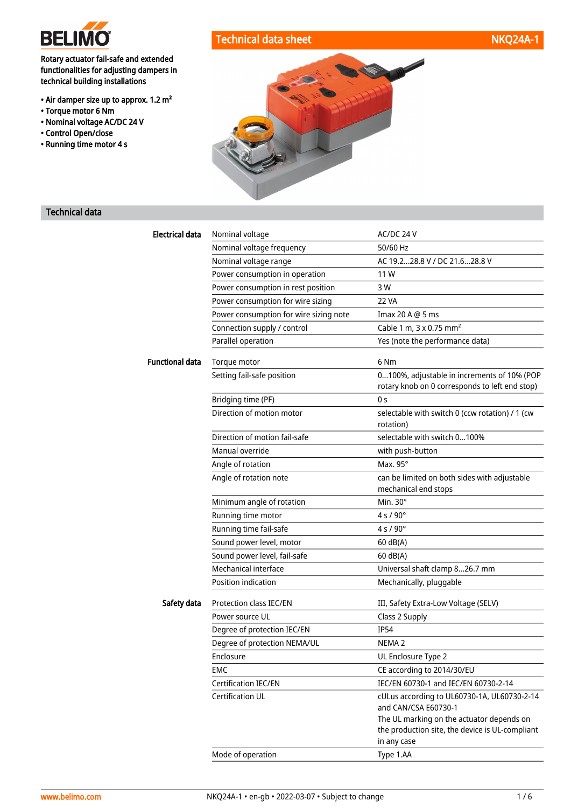

#### Rotary actuator fail-safe and extended functionalities for adjusting dampers in technical building installations

- Air damper size up to approx. 1.2 m²
- Torque motor 6 Nm
- Nominal voltage AC/DC 24 V
- Control Open/close
- Running time motor 4 s





# Technical data

| Electrical data        | Nominal voltage                        | AC/DC 24 V                                                                                                  |
|------------------------|----------------------------------------|-------------------------------------------------------------------------------------------------------------|
|                        | Nominal voltage frequency              | 50/60 Hz                                                                                                    |
|                        | Nominal voltage range                  | AC 19.228.8 V / DC 21.628.8 V                                                                               |
|                        | Power consumption in operation         | 11 W                                                                                                        |
|                        | Power consumption in rest position     | 3 W                                                                                                         |
|                        | Power consumption for wire sizing      | 22 VA                                                                                                       |
|                        | Power consumption for wire sizing note | Imax 20 A @ 5 ms                                                                                            |
|                        | Connection supply / control            | Cable 1 m, 3 x 0.75 mm <sup>2</sup>                                                                         |
|                        | Parallel operation                     | Yes (note the performance data)                                                                             |
| <b>Functional data</b> | Torque motor                           | 6 Nm                                                                                                        |
|                        | Setting fail-safe position             | 0100%, adjustable in increments of 10% (POP<br>rotary knob on 0 corresponds to left end stop)               |
|                        | Bridging time (PF)                     | 0 s                                                                                                         |
|                        | Direction of motion motor              | selectable with switch 0 (ccw rotation) / 1 (cw<br>rotation)                                                |
|                        | Direction of motion fail-safe          | selectable with switch 0100%                                                                                |
|                        | Manual override                        | with push-button                                                                                            |
|                        | Angle of rotation                      | Max. $95^\circ$                                                                                             |
|                        | Angle of rotation note                 | can be limited on both sides with adjustable                                                                |
|                        |                                        | mechanical end stops                                                                                        |
|                        | Minimum angle of rotation              | Min. 30°                                                                                                    |
|                        | Running time motor                     | $4 s / 90^{\circ}$                                                                                          |
|                        | Running time fail-safe                 | $4 s / 90^{\circ}$                                                                                          |
|                        | Sound power level, motor               | 60 dB(A)                                                                                                    |
|                        | Sound power level, fail-safe           | $60$ dB(A)                                                                                                  |
|                        | Mechanical interface                   | Universal shaft clamp 826.7 mm                                                                              |
|                        | Position indication                    | Mechanically, pluggable                                                                                     |
| Safety data            | Protection class IEC/EN                | III, Safety Extra-Low Voltage (SELV)                                                                        |
|                        | Power source UL                        | Class 2 Supply                                                                                              |
|                        | Degree of protection IEC/EN            | IP54                                                                                                        |
|                        | Degree of protection NEMA/UL           | NEMA <sub>2</sub>                                                                                           |
|                        | Enclosure                              | UL Enclosure Type 2                                                                                         |
|                        | <b>EMC</b>                             | CE according to 2014/30/EU                                                                                  |
|                        | Certification IEC/EN                   | IEC/EN 60730-1 and IEC/EN 60730-2-14                                                                        |
|                        | Certification UL                       | cULus according to UL60730-1A, UL60730-2-14<br>and CAN/CSA E60730-1                                         |
|                        |                                        | The UL marking on the actuator depends on<br>the production site, the device is UL-compliant<br>in any case |
|                        | Mode of operation                      | Type 1.AA                                                                                                   |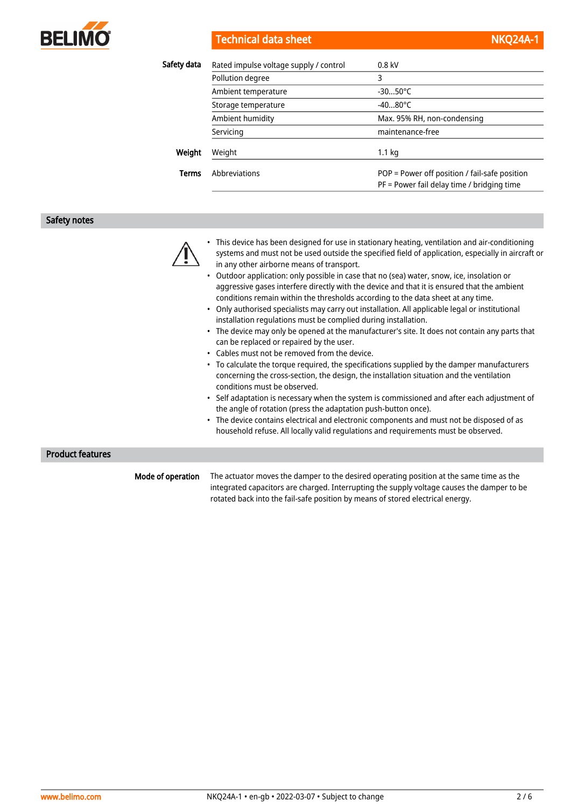

#### Technical data sheet NKQ24A-1 and NKQ24A-1 and NKQ24A-1 and NKQ24A-1 and NKQ24A-1 and NKQ24A-1 and NKQ24A-1 and NKQ24A-1 and NKQ24A-1 and NKQ24A-1 and NKQ24A-1 and NKQ24A-1 and NKQ24A-1 and NKQ24A-1 and NKQ24A-1 and NKQ24A

| Safety data  | Rated impulse voltage supply / control | $0.8$ kV                                                                                    |
|--------------|----------------------------------------|---------------------------------------------------------------------------------------------|
|              | Pollution degree                       | 3                                                                                           |
|              | Ambient temperature                    | $-3050^{\circ}$ C                                                                           |
|              | Storage temperature                    | $-4080^{\circ}$ C                                                                           |
|              | Ambient humidity                       | Max. 95% RH, non-condensing                                                                 |
|              | Servicing                              | maintenance-free                                                                            |
| Weight       | Weight                                 | $1.1 \text{ kg}$                                                                            |
| <b>Terms</b> | Abbreviations                          | POP = Power off position / fail-safe position<br>PF = Power fail delay time / bridging time |

#### Safety notes



- This device has been designed for use in stationary heating, ventilation and air-conditioning systems and must not be used outside the specified field of application, especially in aircraft or in any other airborne means of transport.
- Outdoor application: only possible in case that no (sea) water, snow, ice, insolation or aggressive gases interfere directly with the device and that it is ensured that the ambient conditions remain within the thresholds according to the data sheet at any time.
- Only authorised specialists may carry out installation. All applicable legal or institutional installation regulations must be complied during installation.
- The device may only be opened at the manufacturer's site. It does not contain any parts that can be replaced or repaired by the user.
- Cables must not be removed from the device.
- To calculate the torque required, the specifications supplied by the damper manufacturers concerning the cross-section, the design, the installation situation and the ventilation conditions must be observed.
- Self adaptation is necessary when the system is commissioned and after each adjustment of the angle of rotation (press the adaptation push-button once).
- The device contains electrical and electronic components and must not be disposed of as household refuse. All locally valid regulations and requirements must be observed.

#### Product features

Mode of operation

The actuator moves the damper to the desired operating position at the same time as the integrated capacitors are charged. Interrupting the supply voltage causes the damper to be rotated back into the fail-safe position by means of stored electrical energy.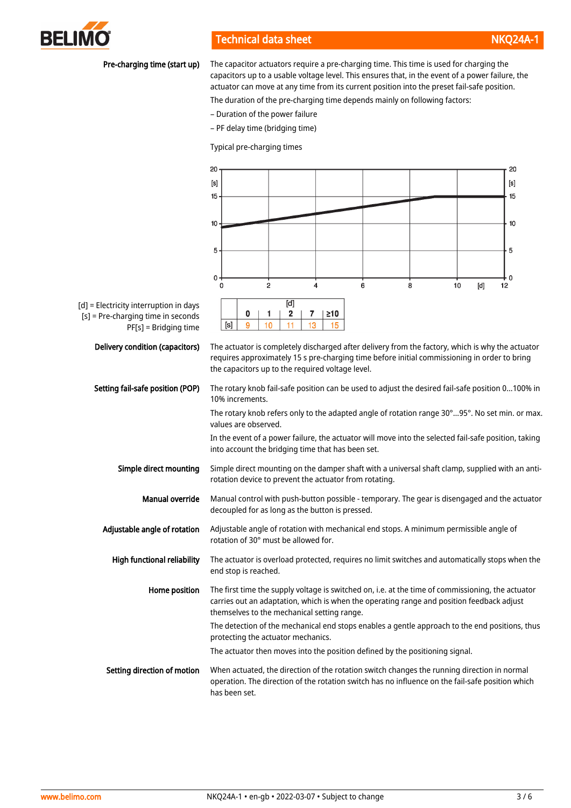

# Technical data sheet NKQ24A-1 and NKQ24A-1 and NKQ24A-1 and NKQ24A-1 and NKQ24A-

#### Pre-charging time (start up)

The capacitor actuators require a pre-charging time. This time is used for charging the capacitors up to a usable voltage level. This ensures that, in the event of a power failure, the actuator can move at any time from its current position into the preset fail-safe position.

The duration of the pre-charging time depends mainly on following factors:

- Duration of the power failure
- PF delay time (bridging time)

Typical pre-charging times

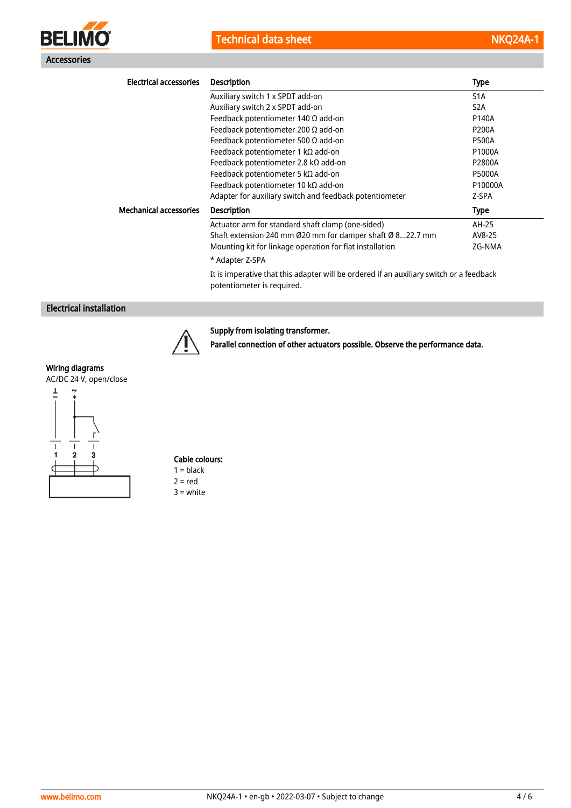



| <b>Electrical accessories</b> | <b>Description</b>                                                                                                    | Type             |
|-------------------------------|-----------------------------------------------------------------------------------------------------------------------|------------------|
|                               | Auxiliary switch 1 x SPDT add-on                                                                                      | S <sub>1</sub> A |
|                               | Auxiliary switch 2 x SPDT add-on                                                                                      | S <sub>2</sub> A |
|                               | Feedback potentiometer 140 $\Omega$ add-on                                                                            | P140A            |
|                               | Feedback potentiometer 200 $\Omega$ add-on                                                                            | <b>P200A</b>     |
|                               | Feedback potentiometer 500 $\Omega$ add-on                                                                            | <b>P500A</b>     |
|                               | Feedback potentiometer 1 k $\Omega$ add-on                                                                            | P1000A           |
|                               | Feedback potentiometer 2.8 k $\Omega$ add-on                                                                          | P2800A           |
|                               | Feedback potentiometer 5 k $\Omega$ add-on                                                                            | <b>P5000A</b>    |
|                               | Feedback potentiometer 10 $k\Omega$ add-on                                                                            | P10000A          |
|                               | Adapter for auxiliary switch and feedback potentiometer                                                               | Z-SPA            |
| <b>Mechanical accessories</b> | <b>Description</b>                                                                                                    | Type             |
|                               | Actuator arm for standard shaft clamp (one-sided)                                                                     | AH-25            |
|                               | Shaft extension 240 mm Ø20 mm for damper shaft Ø 822.7 mm                                                             | AV8-25           |
|                               | Mounting kit for linkage operation for flat installation                                                              | ZG-NMA           |
|                               | * Adapter Z-SPA                                                                                                       |                  |
|                               | It is imperative that this adapter will be ordered if an auxiliary switch or a feedback<br>potentiometer is required. |                  |

# Electrical installation



# Supply from isolating transformer.

Parallel connection of other actuators possible. Observe the performance data.

# Wiring diagrams

AC/DC 24 V, open/close



# Cable colours:

 $1 = **black**$  $2 = red$ 3 = white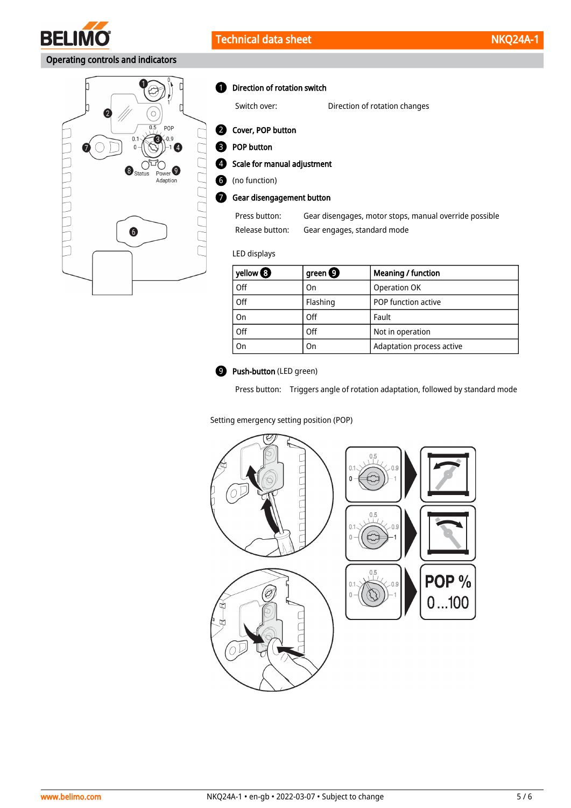

# Operating controls and indicators



**D** Direction of rotation switch

Switch over: Direction of rotation changes

2 Cover, POP button

**B** POP button

Scale for manual adjustment  $\bullet$ 

(no function) 6

**7** Gear disengagement button

Press button: Gear disengages, motor stops, manual override possible Release button: Gear engages, standard mode

#### LED displays

| yellow $\mathbf \Theta$ | green $\boldsymbol{\Theta}$ | <b>Meaning / function</b> |
|-------------------------|-----------------------------|---------------------------|
| Off                     | On                          | Operation OK              |
| Off                     | Flashing                    | POP function active       |
| On                      | Off                         | Fault                     |
| Off                     | Off                         | Not in operation          |
| On                      | On                          | Adaptation process active |



# **9** Push-button (LED green)

Press button: Triggers angle of rotation adaptation, followed by standard mode

#### Setting emergency setting position (POP)